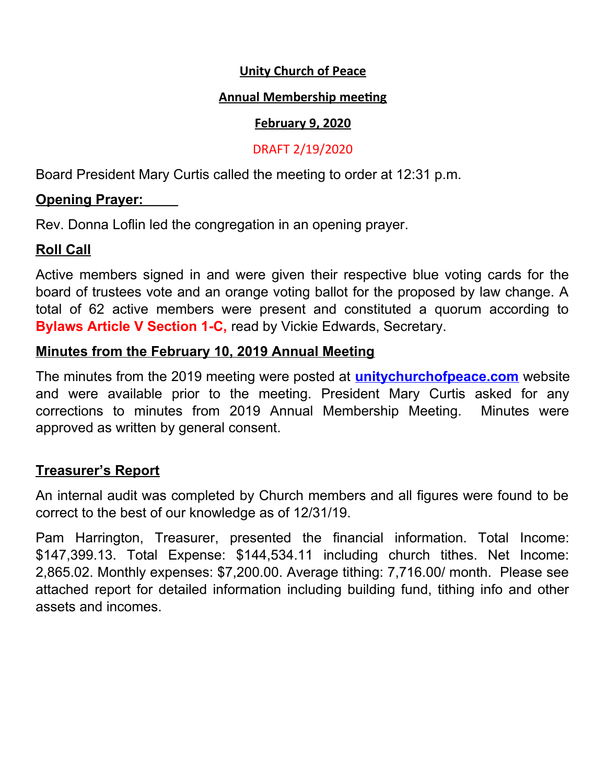#### **Unity Church of Peace**

#### **Annual Membership meeting**

#### **February 9, 2020**

#### DRAFT 2/19/2020

Board President Mary Curtis called the meeting to order at 12:31 p.m.

## **Opening Prayer:**

Rev. Donna Loflin led the congregation in an opening prayer.

# **Roll Call**

Active members signed in and were given their respective blue voting cards for the board of trustees vote and an orange voting ballot for the proposed by law change. A total of 62 active members were present and constituted a quorum according to **Bylaws Article V Section 1-C,** read by Vickie Edwards, Secretary.

### **Minutes from the February 10, 2019 Annual Meeting**

The minutes from the 2019 meeting were posted at **unitychurchofpeace.com** website and were available prior to the meeting. President Mary Curtis asked for any corrections to minutes from 2019 Annual Membership Meeting. Minutes were approved as written by general consent.

### **Treasurer's Report**

An internal audit was completed by Church members and all figures were found to be correct to the best of our knowledge as of 12/31/19.

Pam Harrington, Treasurer, presented the financial information. Total Income: \$147,399.13. Total Expense: \$144,534.11 including church tithes. Net Income: 2,865.02. Monthly expenses: \$7,200.00. Average tithing: 7,716.00/ month. Please see attached report for detailed information including building fund, tithing info and other assets and incomes.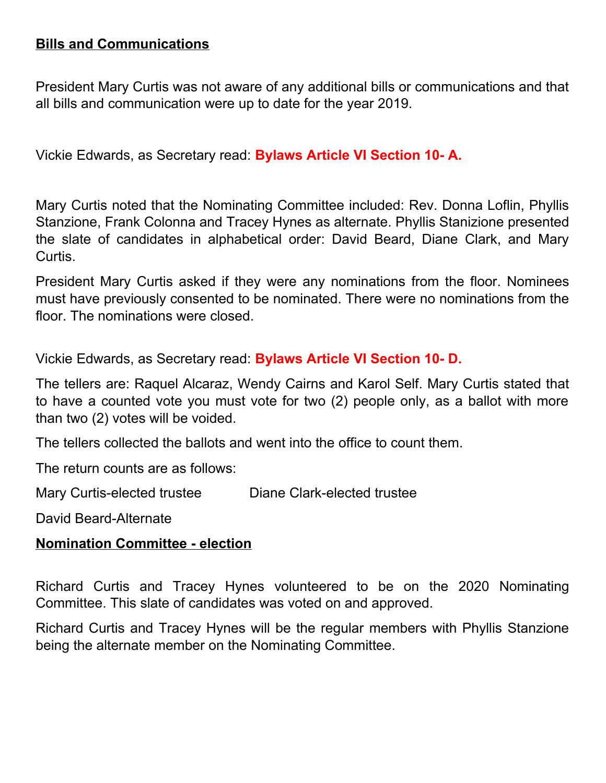## **Bills and Communications**

President Mary Curtis was not aware of any additional bills or communications and that all bills and communication were up to date for the year 2019.

Vickie Edwards, as Secretary read: **Bylaws Article VI Section 10- A.**

Mary Curtis noted that the Nominating Committee included: Rev. Donna Loflin, Phyllis Stanzione, Frank Colonna and Tracey Hynes as alternate. Phyllis Stanizione presented the slate of candidates in alphabetical order: David Beard, Diane Clark, and Mary Curtis.

President Mary Curtis asked if they were any nominations from the floor. Nominees must have previously consented to be nominated. There were no nominations from the floor. The nominations were closed.

Vickie Edwards, as Secretary read: **Bylaws Article VI Section 10- D.**

The tellers are: Raquel Alcaraz, Wendy Cairns and Karol Self. Mary Curtis stated that to have a counted vote you must vote for two (2) people only, as a ballot with more than two (2) votes will be voided.

The tellers collected the ballots and went into the office to count them.

The return counts are as follows:

Mary Curtis-elected trustee Diane Clark-elected trustee

David Beard-Alternate

### **Nomination Committee - election**

Richard Curtis and Tracey Hynes volunteered to be on the 2020 Nominating Committee. This slate of candidates was voted on and approved.

Richard Curtis and Tracey Hynes will be the regular members with Phyllis Stanzione being the alternate member on the Nominating Committee.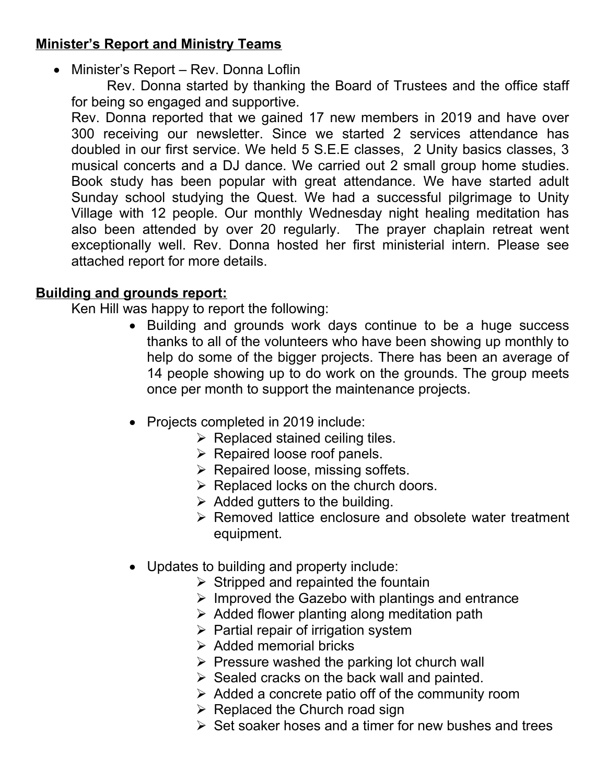# **Minister's Report and Ministry Teams**

Minister's Report – Rev. Donna Loflin

Rev. Donna started by thanking the Board of Trustees and the office staff for being so engaged and supportive.

Rev. Donna reported that we gained 17 new members in 2019 and have over 300 receiving our newsletter. Since we started 2 services attendance has doubled in our first service. We held 5 S.E.E classes, 2 Unity basics classes, 3 musical concerts and a DJ dance. We carried out 2 small group home studies. Book study has been popular with great attendance. We have started adult Sunday school studying the Quest. We had a successful pilgrimage to Unity Village with 12 people. Our monthly Wednesday night healing meditation has also been attended by over 20 regularly. The prayer chaplain retreat went exceptionally well. Rev. Donna hosted her first ministerial intern. Please see attached report for more details.

# **Building and grounds report:**

Ken Hill was happy to report the following:

- Building and grounds work days continue to be a huge success thanks to all of the volunteers who have been showing up monthly to help do some of the bigger projects. There has been an average of 14 people showing up to do work on the grounds. The group meets once per month to support the maintenance projects.
- Projects completed in 2019 include:
	- $\triangleright$  Replaced stained ceiling tiles.
	- $\triangleright$  Repaired loose roof panels.
	- $\triangleright$  Repaired loose, missing soffets.
	- $\triangleright$  Replaced locks on the church doors.
	- $\triangleright$  Added gutters to the building.
	- $\triangleright$  Removed lattice enclosure and obsolete water treatment equipment.
- Updates to building and property include:
	- $\triangleright$  Stripped and repainted the fountain
	- $\triangleright$  Improved the Gazebo with plantings and entrance
	- $\triangleright$  Added flower planting along meditation path
	- $\triangleright$  Partial repair of irrigation system
	- $\triangleright$  Added memorial bricks
	- $\triangleright$  Pressure washed the parking lot church wall
	- $\triangleright$  Sealed cracks on the back wall and painted.
	- $\triangleright$  Added a concrete patio off of the community room
	- $\triangleright$  Replaced the Church road sign
	- $\triangleright$  Set soaker hoses and a timer for new bushes and trees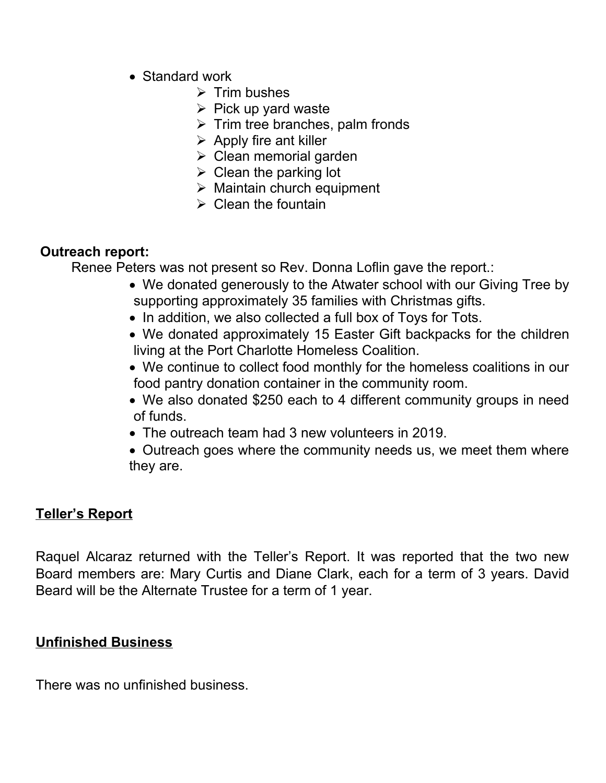- Standard work
	- $\triangleright$  Trim bushes
	- $\triangleright$  Pick up yard waste
	- $\triangleright$  Trim tree branches, palm fronds
	- $\triangleright$  Apply fire ant killer
	- $\triangleright$  Clean memorial garden
	- $\triangleright$  Clean the parking lot
	- $\triangleright$  Maintain church equipment
	- $\triangleright$  Clean the fountain

## **Outreach report:**

Renee Peters was not present so Rev. Donna Loflin gave the report.:

- We donated generously to the Atwater school with our Giving Tree by supporting approximately 35 families with Christmas gifts.
- In addition, we also collected a full box of Toys for Tots.
- We donated approximately 15 Easter Gift backpacks for the children living at the Port Charlotte Homeless Coalition.
- We continue to collect food monthly for the homeless coalitions in our food pantry donation container in the community room.
- We also donated \$250 each to 4 different community groups in need of funds.
- The outreach team had 3 new volunteers in 2019.
- Outreach goes where the community needs us, we meet them where they are.

# **Teller's Report**

Raquel Alcaraz returned with the Teller's Report. It was reported that the two new Board members are: Mary Curtis and Diane Clark, each for a term of 3 years. David Beard will be the Alternate Trustee for a term of 1 year.

### **Unfinished Business**

There was no unfinished business.